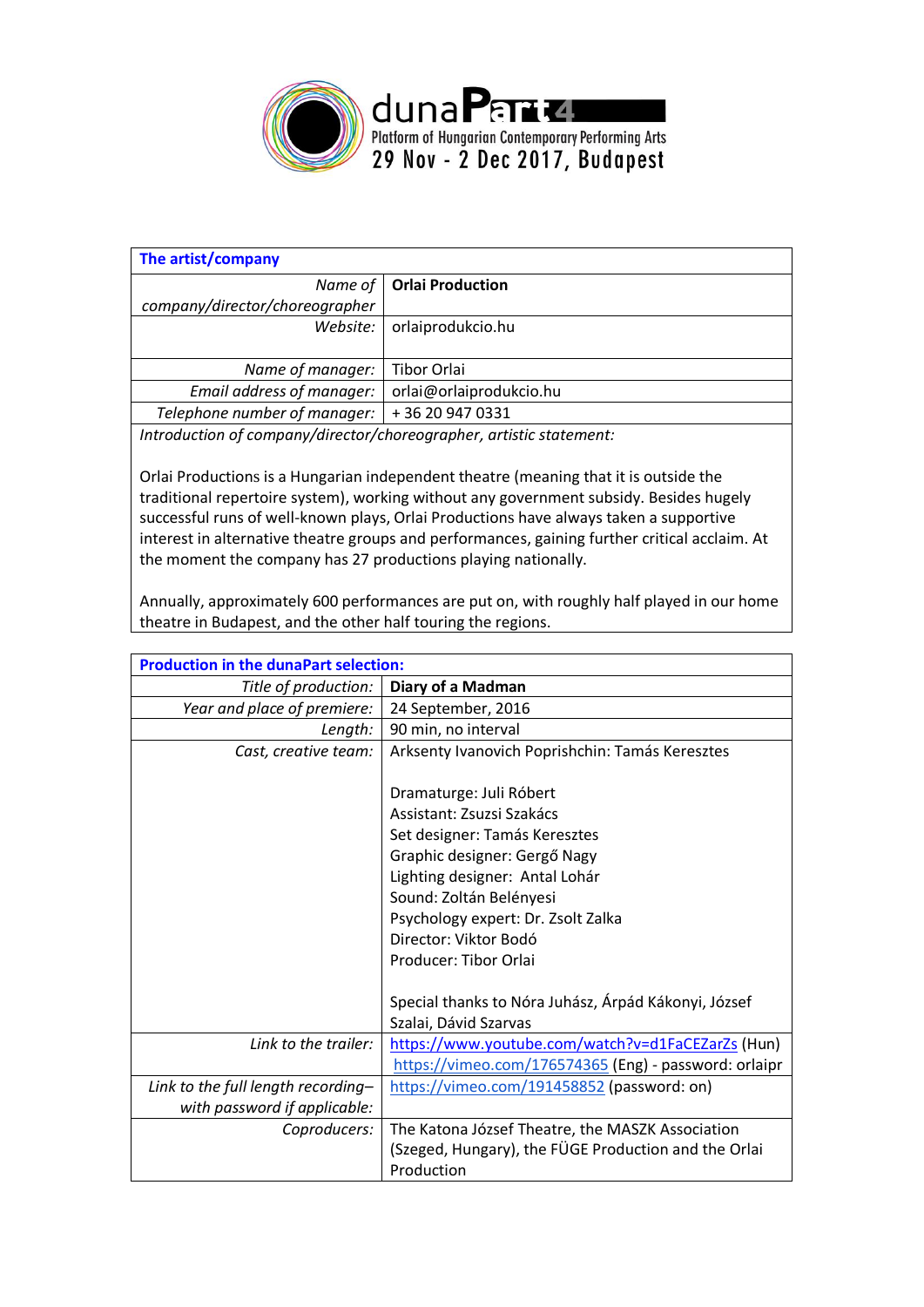

| The artist/company                                                  |                            |  |
|---------------------------------------------------------------------|----------------------------|--|
|                                                                     |                            |  |
|                                                                     | Name of   Orlai Production |  |
| company/director/choreographer                                      |                            |  |
| Website:                                                            | orlaiprodukcio.hu          |  |
|                                                                     |                            |  |
| Name of manager:                                                    | <b>Tibor Orlai</b>         |  |
| Email address of manager:                                           | orlai@orlaiprodukcio.hu    |  |
| Telephone number of manager:                                        | +36 20 947 0331            |  |
| Introduction of company/director/choreographer, artistic statement: |                            |  |

Orlai Productions is a Hungarian independent theatre (meaning that it is outside the traditional repertoire system), working without any government subsidy. Besides hugely successful runs of well-known plays, Orlai Productions have always taken a supportive interest in alternative theatre groups and performances, gaining further critical acclaim. At

the moment the company has 27 productions playing nationally.

Annually, approximately 600 performances are put on, with roughly half played in our home theatre in Budapest, and the other half touring the regions.

| <b>Production in the dunaPart selection:</b> |                                                                                                                                                                                                                                                                                                                                                             |  |
|----------------------------------------------|-------------------------------------------------------------------------------------------------------------------------------------------------------------------------------------------------------------------------------------------------------------------------------------------------------------------------------------------------------------|--|
| Title of production:                         | Diary of a Madman                                                                                                                                                                                                                                                                                                                                           |  |
| Year and place of premiere:                  | 24 September, 2016                                                                                                                                                                                                                                                                                                                                          |  |
| Length:                                      | 90 min, no interval                                                                                                                                                                                                                                                                                                                                         |  |
| Cast, creative team:                         | Arksenty Ivanovich Poprishchin: Tamás Keresztes                                                                                                                                                                                                                                                                                                             |  |
|                                              | Dramaturge: Juli Róbert<br>Assistant: Zsuzsi Szakács<br>Set designer: Tamás Keresztes<br>Graphic designer: Gergő Nagy<br>Lighting designer: Antal Lohár<br>Sound: Zoltán Belényesi<br>Psychology expert: Dr. Zsolt Zalka<br>Director: Viktor Bodó<br>Producer: Tibor Orlai<br>Special thanks to Nóra Juhász, Árpád Kákonyi, József<br>Szalai, Dávid Szarvas |  |
| Link to the trailer:                         | https://www.youtube.com/watch?v=d1FaCEZarZs (Hun)                                                                                                                                                                                                                                                                                                           |  |
|                                              | https://vimeo.com/176574365 (Eng) - password: orlaipr                                                                                                                                                                                                                                                                                                       |  |
| Link to the full length recording-           | https://vimeo.com/191458852 (password: on)                                                                                                                                                                                                                                                                                                                  |  |
| with password if applicable:                 |                                                                                                                                                                                                                                                                                                                                                             |  |
| Coproducers:                                 | The Katona József Theatre, the MASZK Association                                                                                                                                                                                                                                                                                                            |  |
|                                              | (Szeged, Hungary), the FÜGE Production and the Orlai                                                                                                                                                                                                                                                                                                        |  |
|                                              | Production                                                                                                                                                                                                                                                                                                                                                  |  |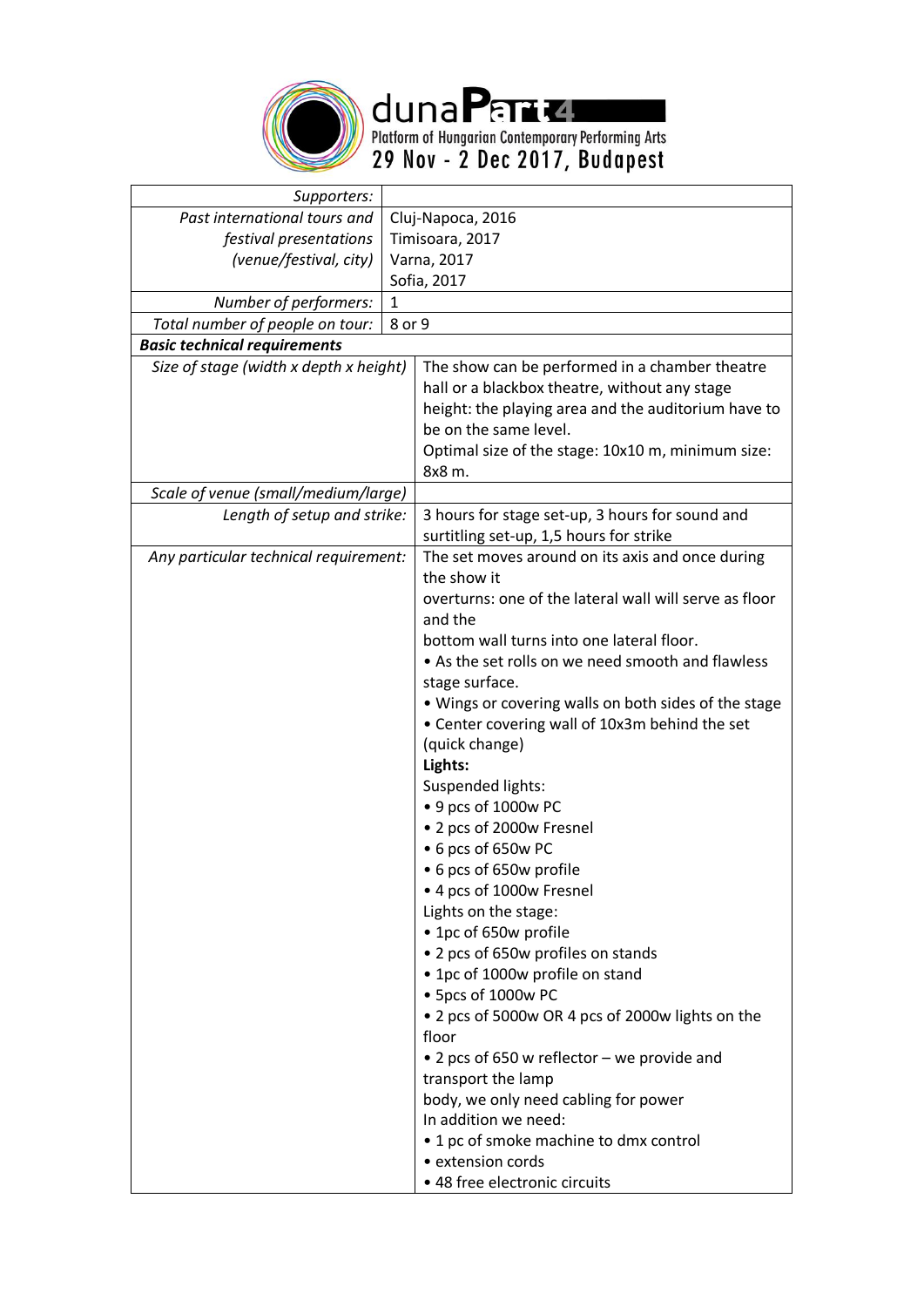

duna Para 21<br>Platform of Hungarian Contemporary Performing Arts<br>29 Nov - 2 Dec 2017, Budapest

| Supporters:                            |                 |                                                        |  |
|----------------------------------------|-----------------|--------------------------------------------------------|--|
| Past international tours and           |                 | Cluj-Napoca, 2016                                      |  |
| festival presentations                 | Timisoara, 2017 |                                                        |  |
| (venue/festival, city)                 |                 | Varna, 2017                                            |  |
|                                        |                 | Sofia, 2017                                            |  |
| Number of performers:                  | 1               |                                                        |  |
| Total number of people on tour:        | 8 or 9          |                                                        |  |
| <b>Basic technical requirements</b>    |                 |                                                        |  |
| Size of stage (width x depth x height) |                 | The show can be performed in a chamber theatre         |  |
|                                        |                 | hall or a blackbox theatre, without any stage          |  |
|                                        |                 | height: the playing area and the auditorium have to    |  |
|                                        |                 | be on the same level.                                  |  |
|                                        |                 | Optimal size of the stage: 10x10 m, minimum size:      |  |
|                                        |                 | 8x8 m.                                                 |  |
| Scale of venue (small/medium/large)    |                 |                                                        |  |
| Length of setup and strike:            |                 | 3 hours for stage set-up, 3 hours for sound and        |  |
|                                        |                 | surtitling set-up, 1,5 hours for strike                |  |
| Any particular technical requirement:  |                 | The set moves around on its axis and once during       |  |
|                                        |                 | the show it                                            |  |
|                                        |                 | overturns: one of the lateral wall will serve as floor |  |
|                                        |                 | and the                                                |  |
|                                        |                 | bottom wall turns into one lateral floor.              |  |
|                                        |                 | • As the set rolls on we need smooth and flawless      |  |
|                                        |                 | stage surface.                                         |  |
|                                        |                 | • Wings or covering walls on both sides of the stage   |  |
|                                        |                 | • Center covering wall of 10x3m behind the set         |  |
|                                        |                 | (quick change)                                         |  |
|                                        |                 | Lights:                                                |  |
|                                        |                 | Suspended lights:                                      |  |
|                                        |                 | • 9 pcs of 1000w PC                                    |  |
|                                        |                 | • 2 pcs of 2000w Fresnel                               |  |
|                                        |                 | • 6 pcs of 650w PC                                     |  |
|                                        |                 | • 6 pcs of 650w profile                                |  |
|                                        |                 | • 4 pcs of 1000w Fresnel                               |  |
|                                        |                 | Lights on the stage:                                   |  |
|                                        |                 | • 1pc of 650w profile                                  |  |
|                                        |                 | • 2 pcs of 650w profiles on stands                     |  |
|                                        |                 | • 1pc of 1000w profile on stand                        |  |
|                                        |                 | • 5pcs of 1000w PC                                     |  |
|                                        |                 | • 2 pcs of 5000w OR 4 pcs of 2000w lights on the       |  |
|                                        |                 | floor<br>• 2 pcs of 650 w reflector – we provide and   |  |
|                                        |                 | transport the lamp                                     |  |
|                                        |                 | body, we only need cabling for power                   |  |
|                                        |                 | In addition we need:                                   |  |
|                                        |                 | • 1 pc of smoke machine to dmx control                 |  |
|                                        |                 | • extension cords                                      |  |
|                                        |                 |                                                        |  |
|                                        |                 | • 48 free electronic circuits                          |  |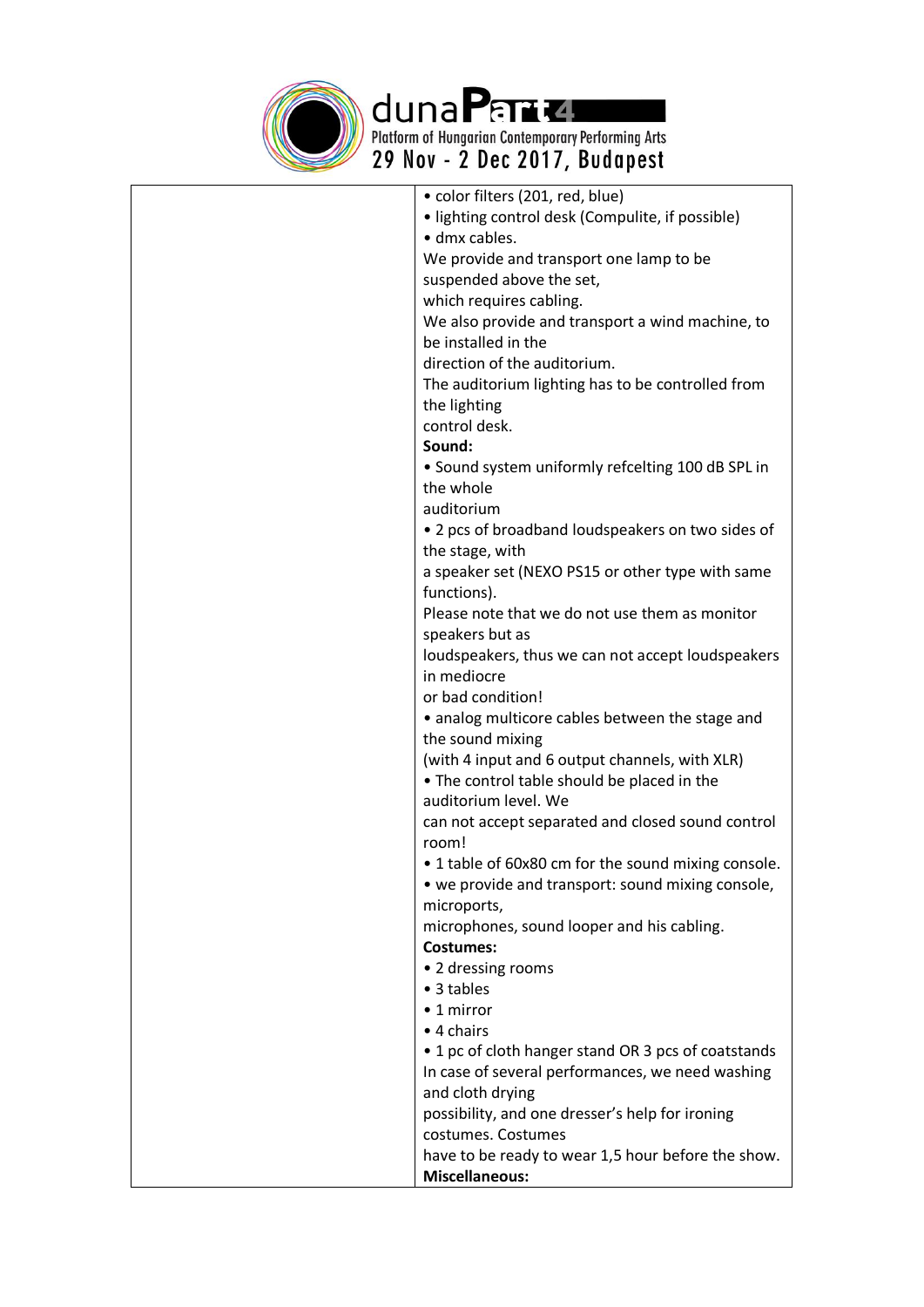

duna Para 21<br>Platform of Hungarian Contemporary Performing Arts<br>29 Nov - 2 Dec 2017, Budapest

| • color filters (201, red, blue)                    |
|-----------------------------------------------------|
| · lighting control desk (Compulite, if possible)    |
| · dmx cables.                                       |
| We provide and transport one lamp to be             |
| suspended above the set,                            |
| which requires cabling.                             |
| We also provide and transport a wind machine, to    |
| be installed in the                                 |
| direction of the auditorium.                        |
| The auditorium lighting has to be controlled from   |
| the lighting                                        |
| control desk.                                       |
| Sound:                                              |
| • Sound system uniformly refcelting 100 dB SPL in   |
| the whole                                           |
| auditorium                                          |
| • 2 pcs of broadband loudspeakers on two sides of   |
| the stage, with                                     |
| a speaker set (NEXO PS15 or other type with same    |
| functions).                                         |
| Please note that we do not use them as monitor      |
| speakers but as                                     |
| loudspeakers, thus we can not accept loudspeakers   |
| in mediocre                                         |
| or bad condition!                                   |
| • analog multicore cables between the stage and     |
| the sound mixing                                    |
| (with 4 input and 6 output channels, with XLR)      |
| • The control table should be placed in the         |
| auditorium level. We                                |
| can not accept separated and closed sound control   |
| room!                                               |
| • 1 table of 60x80 cm for the sound mixing console. |
| • we provide and transport: sound mixing console,   |
| microports,                                         |
| microphones, sound looper and his cabling.          |
| <b>Costumes:</b>                                    |
| • 2 dressing rooms                                  |
| • 3 tables                                          |
| $\bullet$ 1 mirror                                  |
| • 4 chairs                                          |
| • 1 pc of cloth hanger stand OR 3 pcs of coatstands |
| In case of several performances, we need washing    |
| and cloth drying                                    |
| possibility, and one dresser's help for ironing     |
| costumes. Costumes                                  |
| have to be ready to wear 1,5 hour before the show.  |
| <b>Miscellaneous:</b>                               |